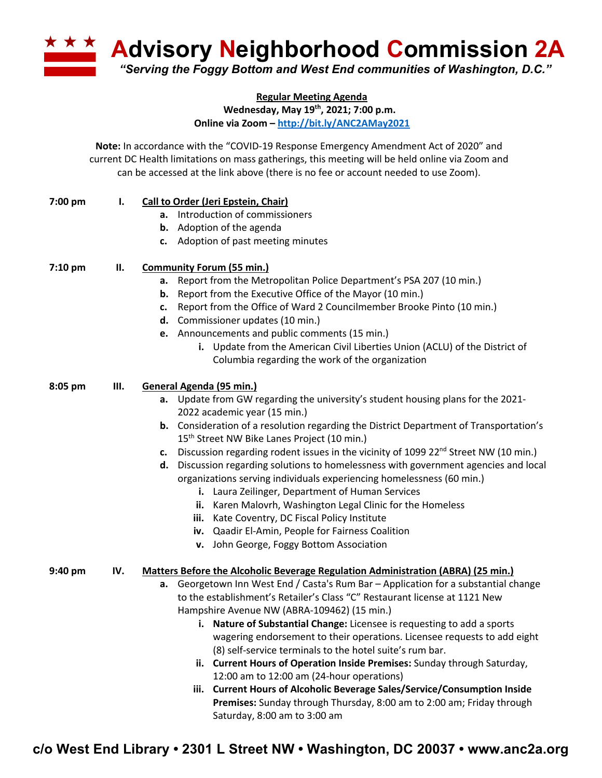**Advisory Neighborhood Commission 2A** *"Serving the Foggy Bottom and West End communities of Washington, D.C."*

> **Regular Meeting Agenda Wednesday, May 19th, 2021; 7:00 p.m.**

**Online via Zoom – http://bit.ly/ANC2AMay2021**

**Note:** In accordance with the "COVID-19 Response Emergency Amendment Act of 2020" and current DC Health limitations on mass gatherings, this meeting will be held online via Zoom and can be accessed at the link above (there is no fee or account needed to use Zoom).

| 7:00 pm | Ι.  | <b>Call to Order (Jeri Epstein, Chair)</b>                                                         |
|---------|-----|----------------------------------------------------------------------------------------------------|
|         |     | a. Introduction of commissioners                                                                   |
|         |     | <b>b.</b> Adoption of the agenda                                                                   |
|         |     | c. Adoption of past meeting minutes                                                                |
|         |     |                                                                                                    |
| 7:10 pm | Ш.  | <b>Community Forum (55 min.)</b>                                                                   |
|         |     | a. Report from the Metropolitan Police Department's PSA 207 (10 min.)                              |
|         |     | <b>b.</b> Report from the Executive Office of the Mayor (10 min.)                                  |
|         |     | c. Report from the Office of Ward 2 Councilmember Brooke Pinto (10 min.)                           |
|         |     | d. Commissioner updates (10 min.)                                                                  |
|         |     | e. Announcements and public comments (15 min.)                                                     |
|         |     | i. Update from the American Civil Liberties Union (ACLU) of the District of                        |
|         |     | Columbia regarding the work of the organization                                                    |
| 8:05 pm | Ш.  | General Agenda (95 min.)                                                                           |
|         |     | a. Update from GW regarding the university's student housing plans for the 2021-                   |
|         |     | 2022 academic year (15 min.)                                                                       |
|         |     | b. Consideration of a resolution regarding the District Department of Transportation's             |
|         |     | 15 <sup>th</sup> Street NW Bike Lanes Project (10 min.)                                            |
|         |     | c. Discussion regarding rodent issues in the vicinity of 1099 22 <sup>nd</sup> Street NW (10 min.) |
|         |     | d. Discussion regarding solutions to homelessness with government agencies and local               |
|         |     | organizations serving individuals experiencing homelessness (60 min.)                              |
|         |     | i. Laura Zeilinger, Department of Human Services                                                   |
|         |     | ii. Karen Malovrh, Washington Legal Clinic for the Homeless                                        |
|         |     | iii. Kate Coventry, DC Fiscal Policy Institute                                                     |
|         |     | iv. Qaadir El-Amin, People for Fairness Coalition                                                  |
|         |     | v. John George, Foggy Bottom Association                                                           |
| 9:40 pm | IV. | <b>Matters Before the Alcoholic Beverage Regulation Administration (ABRA) (25 min.)</b>            |
|         |     | a. Georgetown Inn West End / Casta's Rum Bar - Application for a substantial change                |
|         |     | to the establishment's Retailer's Class "C" Restaurant license at 1121 New                         |
|         |     | Hampshire Avenue NW (ABRA-109462) (15 min.)                                                        |
|         |     | i. Nature of Substantial Change: Licensee is requesting to add a sports                            |
|         |     | wagering endorsement to their operations. Licensee requests to add eight                           |
|         |     | (8) self-service terminals to the hotel suite's rum bar.                                           |
|         |     | ii. Current Hours of Operation Inside Premises: Sunday through Saturday,                           |
|         |     | 12:00 am to 12:00 am (24-hour operations)                                                          |
|         |     | <b>Current Hours of Alcoholic Beverage Sales/Service/Consumption Inside</b><br>iii.                |
|         |     | Premises: Sunday through Thursday, 8:00 am to 2:00 am; Friday through                              |

**c/o West End Library • 2301 L Street NW • Washington, DC 20037 • www.anc2a.org**

Saturday, 8:00 am to 3:00 am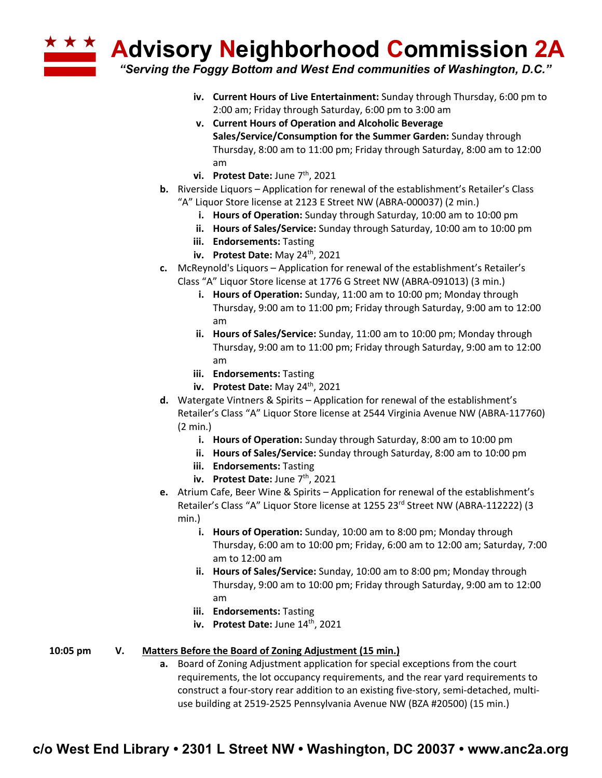**Advisory Neighborhood Commission 2A**

*"Serving the Foggy Bottom and West End communities of Washington, D.C."*

- **iv. Current Hours of Live Entertainment:** Sunday through Thursday, 6:00 pm to 2:00 am; Friday through Saturday, 6:00 pm to 3:00 am
- **v. Current Hours of Operation and Alcoholic Beverage Sales/Service/Consumption for the Summer Garden:** Sunday through Thursday, 8:00 am to 11:00 pm; Friday through Saturday, 8:00 am to 12:00 am
- vi. Protest Date: June 7<sup>th</sup>, 2021
- **b.** Riverside Liquors Application for renewal of the establishment's Retailer's Class "A" Liquor Store license at 2123 E Street NW (ABRA-000037) (2 min.)
	- **i. Hours of Operation:** Sunday through Saturday, 10:00 am to 10:00 pm
	- **ii. Hours of Sales/Service:** Sunday through Saturday, 10:00 am to 10:00 pm
	- **iii. Endorsements:** Tasting
	- **iv. Protest Date:** May 24<sup>th</sup>, 2021
- **c.** McReynold's Liquors Application for renewal of the establishment's Retailer's Class "A" Liquor Store license at 1776 G Street NW (ABRA-091013) (3 min.)
	- **i. Hours of Operation:** Sunday, 11:00 am to 10:00 pm; Monday through Thursday, 9:00 am to 11:00 pm; Friday through Saturday, 9:00 am to 12:00 am
	- **ii. Hours of Sales/Service:** Sunday, 11:00 am to 10:00 pm; Monday through Thursday, 9:00 am to 11:00 pm; Friday through Saturday, 9:00 am to 12:00 am
	- **iii. Endorsements:** Tasting
	- **iv. Protest Date:** May 24<sup>th</sup>, 2021
- **d.** Watergate Vintners & Spirits Application for renewal of the establishment's Retailer's Class "A" Liquor Store license at 2544 Virginia Avenue NW (ABRA-117760) (2 min.)
	- **i. Hours of Operation:** Sunday through Saturday, 8:00 am to 10:00 pm
	- **ii. Hours of Sales/Service:** Sunday through Saturday, 8:00 am to 10:00 pm
	- **iii. Endorsements:** Tasting
	- **iv.** Protest Date: June 7<sup>th</sup>, 2021
- **e.** Atrium Cafe, Beer Wine & Spirits Application for renewal of the establishment's Retailer's Class "A" Liquor Store license at 1255 23<sup>rd</sup> Street NW (ABRA-112222) (3 min.)
	- **i. Hours of Operation:** Sunday, 10:00 am to 8:00 pm; Monday through Thursday, 6:00 am to 10:00 pm; Friday, 6:00 am to 12:00 am; Saturday, 7:00 am to 12:00 am
	- **ii. Hours of Sales/Service:** Sunday, 10:00 am to 8:00 pm; Monday through Thursday, 9:00 am to 10:00 pm; Friday through Saturday, 9:00 am to 12:00 am
	- **iii. Endorsements:** Tasting
	- **iv.** Protest Date: June 14<sup>th</sup>, 2021

## **10:05 pm V. Matters Before the Board of Zoning Adjustment (15 min.)**

**a.** Board of Zoning Adjustment application for special exceptions from the court requirements, the lot occupancy requirements, and the rear yard requirements to construct a four-story rear addition to an existing five-story, semi-detached, multiuse building at 2519-2525 Pennsylvania Avenue NW (BZA #20500) (15 min.)